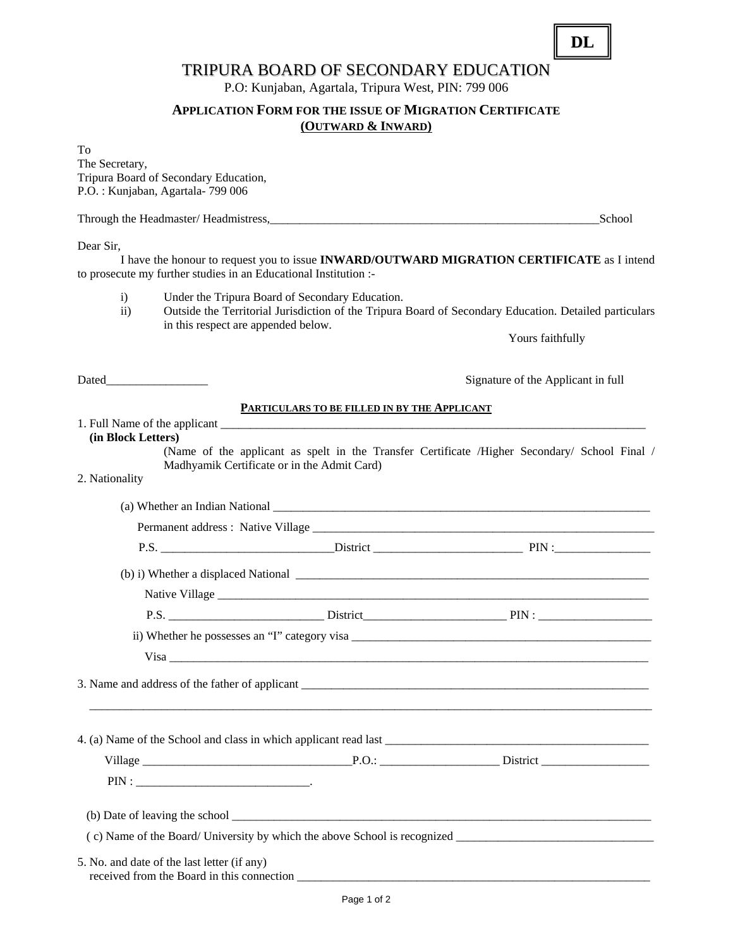## TRIPURA BOARD OF SECONDARY EDUCATION

P.O: Kunjaban, Agartala, Tripura West, PIN: 799 006

#### **APPLICATION FORM FOR THE ISSUE OF MIGRATION CERTIFICATE (OUTWARD & INWARD)**

To The Secretary, Tripura Board of Secondary Education, P.O. : Kunjaban, Agartala- 799 006

Through the Headmaster/ Headmistress,  $School$ 

Dear Sir,

 I have the honour to request you to issue **INWARD/OUTWARD MIGRATION CERTIFICATE** as I intend to prosecute my further studies in an Educational Institution :-

- i) Under the Tripura Board of Secondary Education.
- ii) Outside the Territorial Jurisdiction of the Tripura Board of Secondary Education. Detailed particulars in this respect are appended below.

Yours faithfully

Dated Signature of the Applicant in full

#### **PARTICULARS TO BE FILLED IN BY THE APPLICANT**

#### 1. Full Name of the applicant **(in Block Letters)**

(Name of the applicant as spelt in the Transfer Certificate /Higher Secondary/ School Final / Madhyamik Certificate or in the Admit Card)

#### 2. Nationality

|                                             | $P.S.$ $P.S.$ $P.S.$                                                                                                                                                                                                                 |  |
|---------------------------------------------|--------------------------------------------------------------------------------------------------------------------------------------------------------------------------------------------------------------------------------------|--|
|                                             |                                                                                                                                                                                                                                      |  |
|                                             |                                                                                                                                                                                                                                      |  |
|                                             |                                                                                                                                                                                                                                      |  |
|                                             |                                                                                                                                                                                                                                      |  |
|                                             | Visa <u>example a series and the series of the series of the series of the series of the series of the series of the series of the series of the series of the series of the series of the series of the series of the series of</u> |  |
|                                             |                                                                                                                                                                                                                                      |  |
|                                             |                                                                                                                                                                                                                                      |  |
|                                             |                                                                                                                                                                                                                                      |  |
|                                             |                                                                                                                                                                                                                                      |  |
|                                             |                                                                                                                                                                                                                                      |  |
| 5. No. and date of the last letter (if any) |                                                                                                                                                                                                                                      |  |